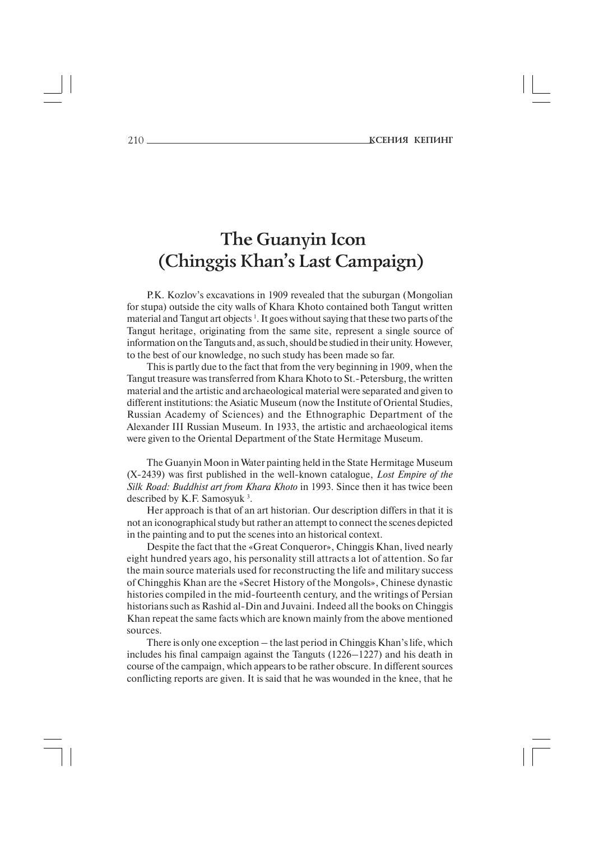# **The Guanyin Icon (Chinggis Khan's Last Campaign)**

P.K. Kozlov's excavations in 1909 revealed that the suburgan (Mongolian for stupa) outside the city walls of Khara Khoto contained both Tangut written material and Tangut art objects<sup>1</sup>. It goes without saying that these two parts of the Tangut heritage, originating from the same site, represent a single source of information on the Tanguts and, as such, should be studied in their unity. However, to the best of our knowledge, no such study has been made so far.

This is partly due to the fact that from the very beginning in 1909, when the Tangut treasure was transferred from Khara Khoto to St.-Petersburg, the written material and the artistic and archaeological material were separated and given to different institutions: the Asiatic Museum (now the Institute of Oriental Studies, Russian Academy of Sciences) and the Ethnographic Department of the Alexander III Russian Museum. In 1933, the artistic and archaeological items were given to the Oriental Department of the State Hermitage Museum.

The Guanyin Moon in Water painting held in the State Hermitage Museum (X-2439) was first published in the well-known catalogue, *Lost Empire of the Silk Road: Buddhist art from Khara Khoto* in 1993. Since then it has twice been described by K.F. Samosyuk 3 .

Her approach is that of an art historian. Our description differs in that it is not an iconographical study but rather an attempt to connect the scenes depicted in the painting and to put the scenes into an historical context.

Despite the fact that the «Great Conqueror», Chinggis Khan, lived nearly eight hundred years ago, his personality still attracts a lot of attention. So far the main source materials used for reconstructing the life and military success of Chingghis Khan are the «Secret History of the Mongols», Chinese dynastic histories compiled in the mid-fourteenth century, and the writings of Persian historians such as Rashid al-Din and Juvaini. Indeed all the books on Chinggis Khan repeat the same facts which are known mainly from the above mentioned sources.

There is only one exception – the last period in Chinggis Khan's life, which includes his final campaign against the Tanguts (1226–1227) and his death in course of the campaign, which appears to be rather obscure. In different sources conflicting reports are given. It is said that he was wounded in the knee, that he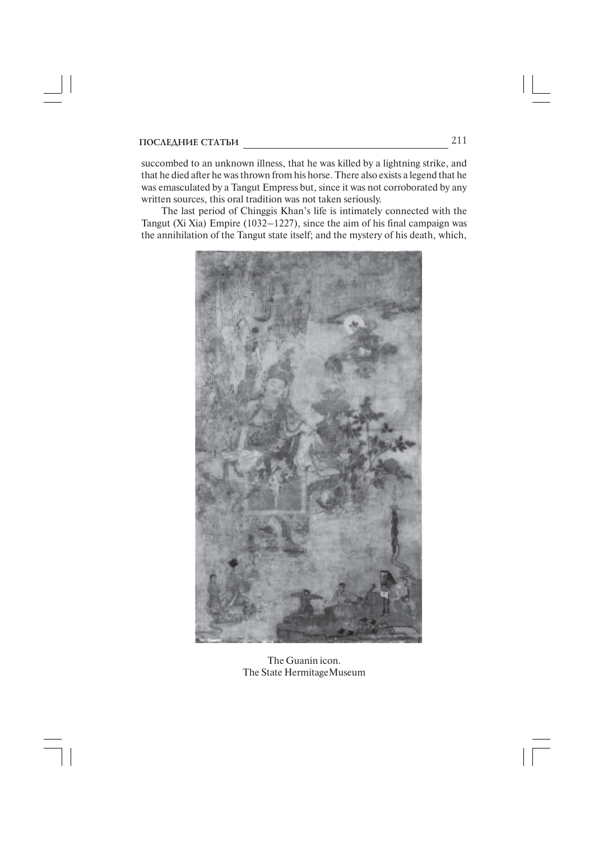succombed to an unknown illness, that he was killed by a lightning strike, and that he died after he was thrown from his horse. There also exists a legend that he was emasculated by a Tangut Empress but, since it was not corroborated by any written sources, this oral tradition was not taken seriously.

The last period of Chinggis Khan's life is intimately connected with the Tangut (Xi Xia) Empire (1032–1227), since the aim of his final campaign was the annihilation of the Tangut state itself; and the mystery of his death, which,



The Guanin icon. The State HermitageMuseum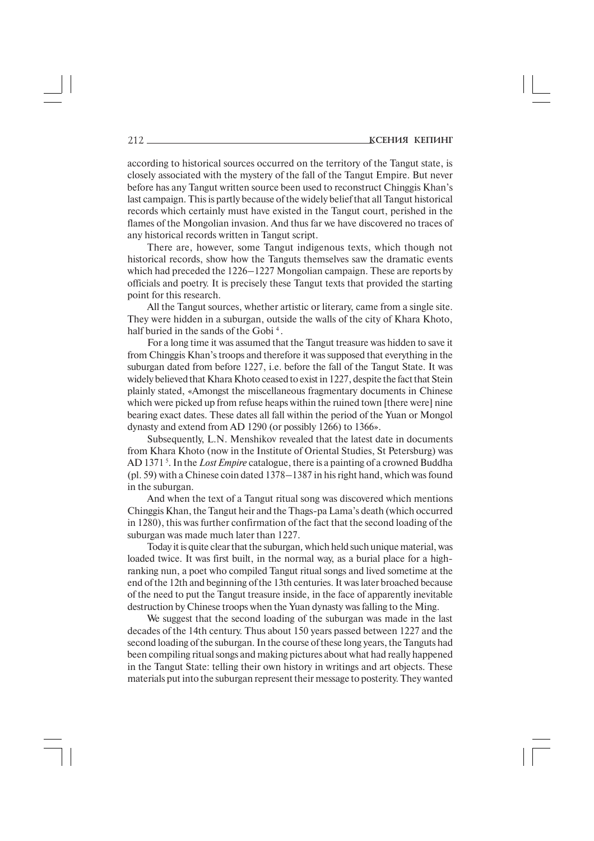according to historical sources occurred on the territory of the Tangut state, is closely associated with the mystery of the fall of the Tangut Empire. But never before has any Tangut written source been used to reconstruct Chinggis Khan's last campaign. This is partly because of the widely belief that all Tangut historical records which certainly must have existed in the Tangut court, perished in the flames of the Mongolian invasion. And thus far we have discovered no traces of any historical records written in Tangut script.

There are, however, some Tangut indigenous texts, which though not historical records, show how the Tanguts themselves saw the dramatic events which had preceded the 1226–1227 Mongolian campaign. These are reports by officials and poetry. It is precisely these Tangut texts that provided the starting point for this research.

All the Tangut sources, whether artistic or literary, came from a single site. They were hidden in a suburgan, outside the walls of the city of Khara Khoto, half buried in the sands of the Gobi<sup>4</sup>.

For a long time it was assumed that the Tangut treasure was hidden to save it from Chinggis Khan's troops and therefore it was supposed that everything in the suburgan dated from before 1227, i.e. before the fall of the Tangut State. It was widely believed that Khara Khoto ceased to exist in 1227, despite the fact that Stein plainly stated, «Amongst the miscellaneous fragmentary documents in Chinese which were picked up from refuse heaps within the ruined town [there were] nine bearing exact dates. These dates all fall within the period of the Yuan or Mongol dynasty and extend from AD 1290 (or possibly 1266) to 1366».

Subsequently, L.N. Menshikov revealed that the latest date in documents from Khara Khoto (now in the Institute of Oriental Studies, St Petersburg) was AD 1371 5 . In the *Lost Empire* catalogue, there is a painting of a crowned Buddha (pl. 59) with a Chinese coin dated 1378–1387 in his right hand, which was found in the suburgan.

And when the text of a Tangut ritual song was discovered which mentions Chinggis Khan, the Tangut heir and the Thags-pa Lama's death (which occurred in 1280), this was further confirmation of the fact that the second loading of the suburgan was made much later than 1227.

Today it is quite clear that the suburgan*,* which held such unique material, was loaded twice. It was first built, in the normal way, as a burial place for a highranking nun, a poet who compiled Tangut ritual songs and lived sometime at the end of the 12th and beginning of the 13th centuries. It was later broached because of the need to put the Tangut treasure inside, in the face of apparently inevitable destruction by Chinese troops when the Yuan dynasty was falling to the Ming.

We suggest that the second loading of the suburgan was made in the last decades of the 14th century. Thus about 150 years passed between 1227 and the second loading of the suburgan. In the course of these long years, the Tanguts had been compiling ritual songs and making pictures about what had really happened in the Tangut State: telling their own history in writings and art objects. These materials put into the suburgan represent their message to posterity. They wanted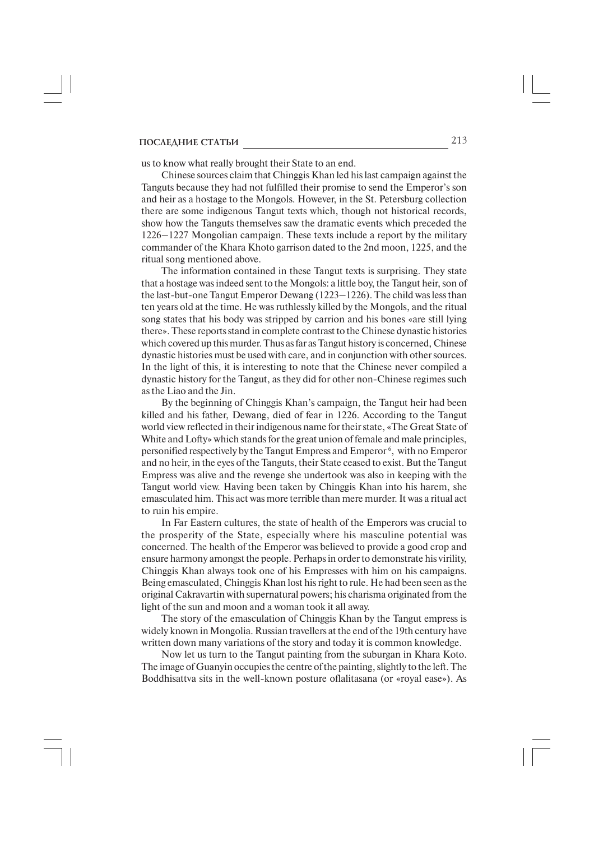us to know what really brought their State to an end.

Chinese sources claim that Chinggis Khan led his last campaign against the Tanguts because they had not fulfilled their promise to send the Emperor's son and heir as a hostage to the Mongols. However, in the St. Petersburg collection there are some indigenous Tangut texts which, though not historical records, show how the Tanguts themselves saw the dramatic events which preceded the 1226–1227 Mongolian campaign. These texts include a report by the military commander of the Khara Khoto garrison dated to the 2nd moon, 1225, and the ritual song mentioned above.

The information contained in these Tangut texts is surprising. They state that a hostage was indeed sent to the Mongols: a little boy, the Tangut heir, son of the last-but-one Tangut Emperor Dewang  $(1223-1226)$ . The child was less than ten years old at the time. He was ruthlessly killed by the Mongols, and the ritual song states that his body was stripped by carrion and his bones «are still lying there». These reports stand in complete contrast to the Chinese dynastic histories which covered up this murder. Thus as far as Tangut history is concerned, Chinese dynastic histories must be used with care, and in conjunction with other sources. In the light of this, it is interesting to note that the Chinese never compiled a dynastic history for the Tangut, as they did for other non-Chinese regimes such as the Liao and the Jin.

By the beginning of Chinggis Khan's campaign, the Tangut heir had been killed and his father, Dewang, died of fear in 1226. According to the Tangut world view reflected in their indigenous name for their state, «The Great State of White and Lofty» which stands for the great union of female and male principles, personified respectively by the Tangut Empress and Emperor 6 , with no Emperor and no heir, in the eyes of the Tanguts, their State ceased to exist. But the Tangut Empress was alive and the revenge she undertook was also in keeping with the Tangut world view. Having been taken by Chinggis Khan into his harem, she emasculated him. This act was more terrible than mere murder. It was a ritual act to ruin his empire.

In Far Eastern cultures, the state of health of the Emperors was crucial to the prosperity of the State, especially where his masculine potential was concerned. The health of the Emperor was believed to provide a good crop and ensure harmony amongst the people. Perhaps in order to demonstrate his virility, Chinggis Khan always took one of his Empresses with him on his campaigns. Being emasculated, Chinggis Khan lost his right to rule. He had been seen as the original Cakravartin with supernatural powers; his charisma originated from the light of the sun and moon and a woman took it all away.

The story of the emasculation of Chinggis Khan by the Tangut empress is widely known in Mongolia. Russian travellers at the end of the 19th century have written down many variations of the story and today it is common knowledge.

Now let us turn to the Tangut painting from the suburgan in Khara Koto. The image of Guanyin occupies the centre of the painting, slightly to the left. The Boddhisattva sits in the well-known posture oflalitasana (or «royal ease»). As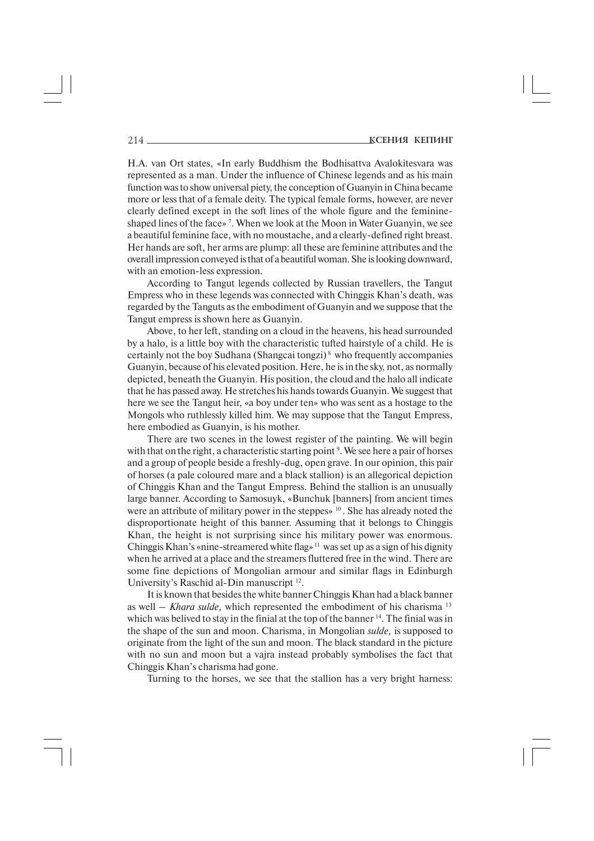H.A. van Ort states, «In early Buddhism the Bodhisattva Avalokitesvara was represented as a man. Under the influence of Chinese legends and as his main function was to show universal piety, the conception of Guanyin in China became more or less that of a female deity. The typical female forms, however, are never clearly defined except in the soft lines of the whole figure and the feminine shaped lines of the face» 7 . When we look at the Moon in Water Guanyin, we see a beautiful feminine face, with no moustache, and a clearly-defined right breast. Her hands are soft, her arms are plump: all these are feminine attributes and the overall impression conveyed is that of a beautiful woman. She is looking downward, with an emotion-less expression.

According to Tangut legends collected by Russian travellers, the Tangut Empress who in these legends was connected with Chinggis Khan's death, was regarded by the Tanguts as the embodiment of Guanyin and we suppose that the Tangut empress is shown here as Guanyin.

Above, to her left, standing on a cloud in the heavens, his head surrounded by a halo, is a little boy with the characteristic tufted hairstyle of a child. He is certainly not the boy Sudhana (Shangcai tongzi) 8 who frequently accompanies Guanyin, because of his elevated position. Here, he is in the sky, not, as normally depicted, beneath the Guanyin. His position, the cloud and the halo all indicate that he has passed away. He stretches his hands towards Guanyin. We suggest that here we see the Tangut heir, «a boy under ten» who was sent as a hostage to the Mongols who ruthlessly killed him. We may suppose that the Tangut Empress, here embodied as Guanyin, is his mother.

There are two scenes in the lowest register of the painting. We will begin with that on the right, a characteristic starting point <sup>9</sup>. We see here a pair of horses and a group of people beside a freshly-dug, open grave. In our opinion, this pair of horses (a pale coloured mare and a black stallion) is an allegorical depiction of Chinggis Khan and the Tangut Empress. Behind the stallion is an unusually large banner. According to Samosuyk, «Bunchuk [banners] from ancient times were an attribute of military power in the steppes» 10 . She has already noted the disproportionate height of this banner. Assuming that it belongs to Chinggis Khan, the height is not surprising since his military power was enormous. Chinggis Khan's «nine-streamered white flag»<sup>11</sup> was set up as a sign of his dignity when he arrived at a place and the streamers fluttered free in the wind. There are some fine depictions of Mongolian armour and similar flags in Edinburgh University's Raschid al-Din manuscript <sup>12</sup>.

It is known that besides the white banner Chinggis Khan had a black banner as well – *Khara sulde,* which represented the embodiment of his charisma 13 which was belived to stay in the finial at the top of the banner <sup>14</sup>. The finial was in the shape of the sun and moon. Charisma, in Mongolian *sulde,* is supposed to originate from the light of the sun and moon. The black standard in the picture with no sun and moon but a vajra instead probably symbolises the fact that Chinggis Khan's charisma had gone.

Turning to the horses, we see that the stallion has a very bright harness: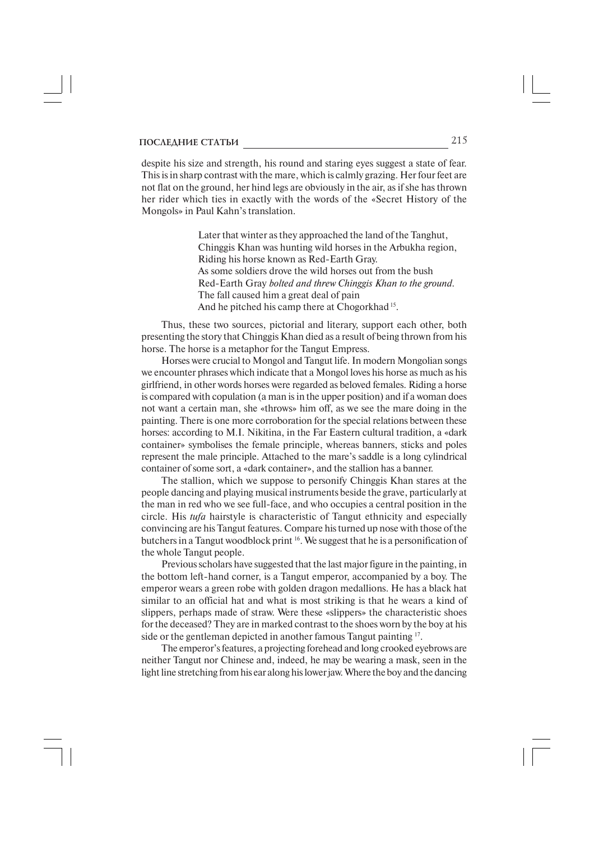despite his size and strength, his round and staring eyes suggest a state of fear. This is in sharp contrast with the mare, which is calmly grazing. Her four feet are not flat on the ground, her hind legs are obviously in the air, as if she has thrown her rider which ties in exactly with the words of the «Secret History of the Mongols» in Paul Kahn's translation.

> Later that winter as they approached the land of the Tanghut, Chinggis Khan was hunting wild horses in the Arbukha region, Riding his horse known as Red-Earth Gray. As some soldiers drove the wild horses out from the bush Red-Earth Gray *bolted and threw Chinggis Khan to the ground*. The fall caused him a great deal of pain And he pitched his camp there at Chogorkhad 15.

Thus, these two sources, pictorial and literary, support each other, both presenting the story that Chinggis Khan died as a result of being thrown from his horse. The horse is a metaphor for the Tangut Empress.

Horses were crucial to Mongol and Tangut life. In modern Mongolian songs we encounter phrases which indicate that a Mongol loves his horse as much as his girlfriend, in other words horses were regarded as beloved females. Riding a horse is compared with copulation (a man is in the upper position) and if a woman does not want a certain man, she «throws» him off, as we see the mare doing in the painting. There is one more corroboration for the special relations between these horses: according to M.I. Nikitina, in the Far Eastern cultural tradition, a «dark container» symbolises the female principle, whereas banners, sticks and poles represent the male principle. Attached to the mare's saddle is a long cylindrical container of some sort, a «dark container», and the stallion has a banner.

The stallion, which we suppose to personify Chinggis Khan stares at the people dancing and playing musical instruments beside the grave, particularly at the man in red who we see full-face, and who occupies a central position in the circle. His *tufa* hairstyle is characteristic of Tangut ethnicity and especially convincing are his Tangut features. Compare his turned up nose with those of the butchers in a Tangut woodblock print 16. We suggest that he is a personification of the whole Tangut people.

Previous scholars have suggested that the last major figure in the painting, in the bottom left-hand corner, is a Tangut emperor, accompanied by a boy. The emperor wears a green robe with golden dragon medallions. He has a black hat similar to an official hat and what is most striking is that he wears a kind of slippers, perhaps made of straw. Were these «slippers» the characteristic shoes for the deceased? They are in marked contrast to the shoes worn by the boy at his side or the gentleman depicted in another famous Tangut painting 17.

The emperor's features, a projecting forehead and long crooked eyebrows are neither Tangut nor Chinese and, indeed, he may be wearing a mask, seen in the light line stretching from his ear along his lower jaw. Where the boy and the dancing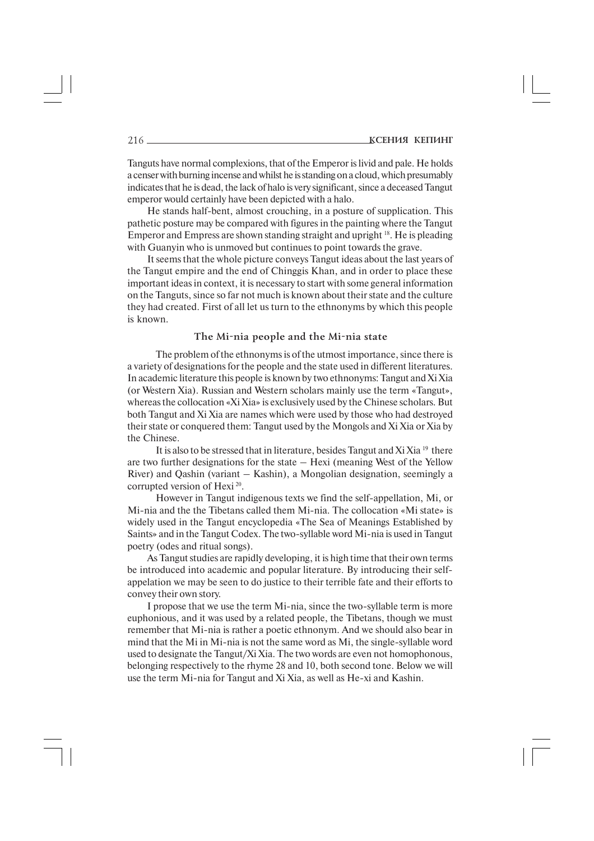Tanguts have normal complexions, that of the Emperor is livid and pale. He holds a censer with burning incense and whilst he is standing on a cloud, which presumably indicates that he is dead, the lack of halo is very significant, since a deceased Tangut emperor would certainly have been depicted with a halo.

He stands half-bent, almost crouching, in a posture of supplication. This pathetic posture may be compared with figures in the painting where the Tangut Emperor and Empress are shown standing straight and upright 18. He is pleading with Guanyin who is unmoved but continues to point towards the grave.

It seems that the whole picture conveys Tangut ideas about the last years of the Tangut empire and the end of Chinggis Khan, and in order to place these important ideas in context, it is necessary to start with some general information on the Tanguts, since so far not much is known about their state and the culture they had created. First of all let us turn to the ethnonyms by which this people is known.

### The Mi-nia people and the Mi-nia state

The problem of the ethnonyms is of the utmost importance, since there is a variety of designations for the people and the state used in different literatures. In academic literature this people is known by two ethnonyms: Tangut and Xi Xia (or Western Xia). Russian and Western scholars mainly use the term «Tangut», whereas the collocation «Xi Xia» is exclusively used by the Chinese scholars. But both Tangut and Xi Xia are names which were used by those who had destroyed their state or conquered them: Tangut used by the Mongols and Xi Xia or Xia by the Chinese.

It is also to be stressed that in literature, besides Tangut and Xi Xia<sup>19</sup> there are two further designations for the state – Hexi (meaning West of the Yellow River) and Qashin (variant – Kashin), a Mongolian designation, seemingly a corrupted version of Hexi<sup>20</sup>.

However in Tangut indigenous texts we find the self-appellation, Mi, or Mi-nia and the the Tibetans called them Mi-nia. The collocation «Mi state» is widely used in the Tangut encyclopedia «The Sea of Meanings Established by Saints» and in the Tangut Codex. The two-syllable word Mi-nia is used in Tangut poetry (odes and ritual songs).

As Tangut studies are rapidly developing, it is high time that their own terms be introduced into academic and popular literature. By introducing their self appelation we may be seen to do justice to their terrible fate and their efforts to convey their own story.

I propose that we use the term Mi-nia, since the two-syllable term is more euphonious, and it was used by a related people, the Tibetans, though we must remember that Mi-nia is rather a poetic ethnonym. And we should also bear in mind that the Mi in Mi-nia is not the same word as Mi, the single-syllable word used to designate the Tangut/Xi Xia. The two words are even not homophonous, belonging respectively to the rhyme 28 and 10, both second tone. Below we will use the term Mi-nia for Tangut and Xi Xia, as well as He-xi and Kashin.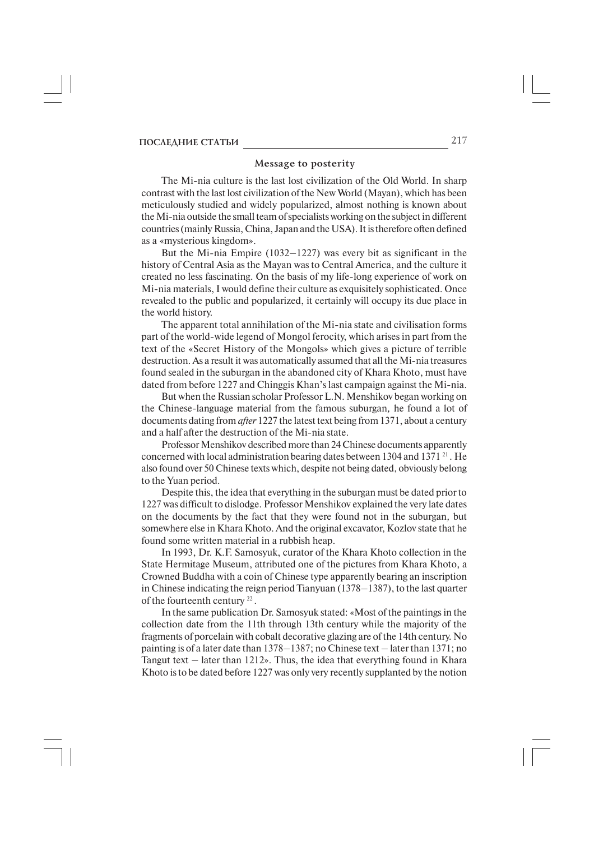### **Message to posterity**

The Mi-nia culture is the last lost civilization of the Old World. In sharp contrast with the last lost civilization of the New World (Mayan), which has been meticulously studied and widely popularized, almost nothing is known about the Mi-nia outside the small team of specialists working on the subject in different countries (mainly Russia, China, Japan and the USA). It is therefore often defined as a «mysterious kingdom».

But the Mi-nia Empire  $(1032-1227)$  was every bit as significant in the history of Central Asia as the Mayan was to Central America, and the culture it created no less fascinating. On the basis of my life-long experience of work on Mi-nia materials, I would define their culture as exquisitely sophisticated. Once revealed to the public and popularized, it certainly will occupy its due place in the world history.

The apparent total annihilation of the Mi-nia state and civilisation forms part of the world-wide legend of Mongol ferocity, which arises in part from the text of the «Secret History of the Mongols» which gives a picture of terrible destruction. As a result it was automatically assumed that all the Mi-nia treasures found sealed in the suburgan in the abandoned city of Khara Khoto, must have dated from before 1227 and Chinggis Khan's last campaign against the Mi-nia.

But when the Russian scholar Professor L.N. Menshikov began working on the Chinese-language material from the famous suburgan, he found a lot of documents dating from *after* 1227 the latest text being from 1371, about a century and a half after the destruction of the Mi-nia state.

Professor Menshikov described more than 24 Chinese documents apparently concerned with local administration bearing dates between 1304 and 1371 $^{21}$ . He also found over 50 Chinese texts which, despite not being dated, obviously belong to the Yuan period.

Despite this, the idea that everything in the suburgan must be dated prior to 1227 was difficult to dislodge. Professor Menshikov explained the very late dates on the documents by the fact that they were found not in the suburgan*,* but somewhere else in Khara Khoto. And the original excavator, Kozlov state that he found some written material in a rubbish heap.

In 1993, Dr. K.F. Samosyuk, curator of the Khara Khoto collection in the State Hermitage Museum, attributed one of the pictures from Khara Khoto, a Crowned Buddha with a coin of Chinese type apparently bearing an inscription in Chinese indicating the reign period Tianyuan (1378–1387), to the last quarter of the fourteenth century 22 .

In the same publication Dr. Samosyuk stated: «Most of the paintings in the collection date from the 11th through 13th century while the majority of the fragments of porcelain with cobalt decorative glazing are of the 14th century. No painting is of a later date than 1378–1387; no Chinese text – later than 1371; no Tangut text – later than 1212». Thus, the idea that everything found in Khara Khoto is to be dated before 1227 was only very recently supplanted by the notion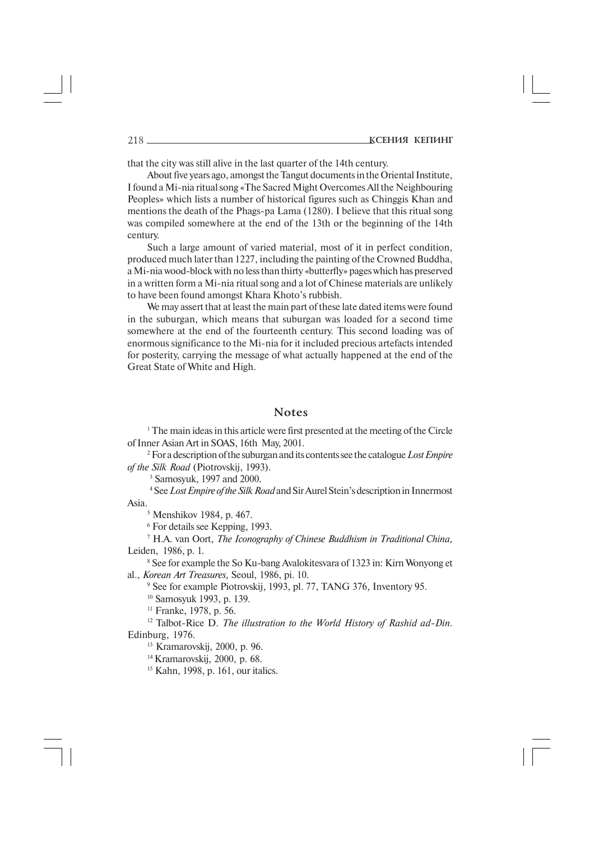that the city was still alive in the last quarter of the 14th century.

About five years ago, amongst the Tangut documents in the Oriental Institute, I found a Mi-nia ritual song «The Sacred Might Overcomes All the Neighbouring Peoples» which lists a number of historical figures such as Chinggis Khan and mentions the death of the Phags-pa Lama (1280). I believe that this ritual song was compiled somewhere at the end of the 13th or the beginning of the 14th century.

Such a large amount of varied material, most of it in perfect condition, produced much later than 1227, including the painting of the Crowned Buddha, a Mi-nia wood-block with no less than thirty «butterfly» pages which has preserved in a written form a Mi-nia ritual song and a lot of Chinese materials are unlikely to have been found amongst Khara Khoto's rubbish.

We may assert that at least the main part of these late dated items were found in the suburgan*,* which means that suburgan was loaded for a second time somewhere at the end of the fourteenth century. This second loading was of enormous significance to the Mi-nia for it included precious artefacts intended for posterity, carrying the message of what actually happened at the end of the Great State of White and High.

## **Notes**

<sup>1</sup> The main ideas in this article were first presented at the meeting of the Circle of Inner Asian Art in SOAS, 16th May, 2001.

2 For a description of the suburgan and its contents see the catalogue *Lost Empire of the Silk Road* (Piotrovskij, 1993).

3 Samosyuk, 1997 and 2000.

4 See *Lost Empire of the Silk Road* and Sir Aurel Stein's description in Innermost Asia.

<sup>5</sup> Menshikov 1984, p. 467.

6 For details see Kepping, 1993.

7 H.A. van Oort, *The Iconography of Chinese Buddhism in Traditional China,* Leiden, 1986, p. 1*.*

<sup>8</sup> See for example the So Ku-bang Avalokitesvara of 1323 in: Kirn Wonyong et al., *Korean Art Treasures,* Seoul, 1986, pi. 10*.*

9 See for example Piotrovskij, 1993, pl. 77, TANG 376, Inventory 95.

10 Samosyuk 1993, p. 139.

11 Franke, 1978, p. 56.

<sup>12</sup> Talbot-Rice D. *The illustration to the World History of Rashid ad-Din.* Edinburg, 1976*.*

13 Kramarovskij, 2000, p. 96.

<sup>14</sup> Kramarovskii, 2000, p. 68.

<sup>15</sup> Kahn, 1998, p. 161, our italics.